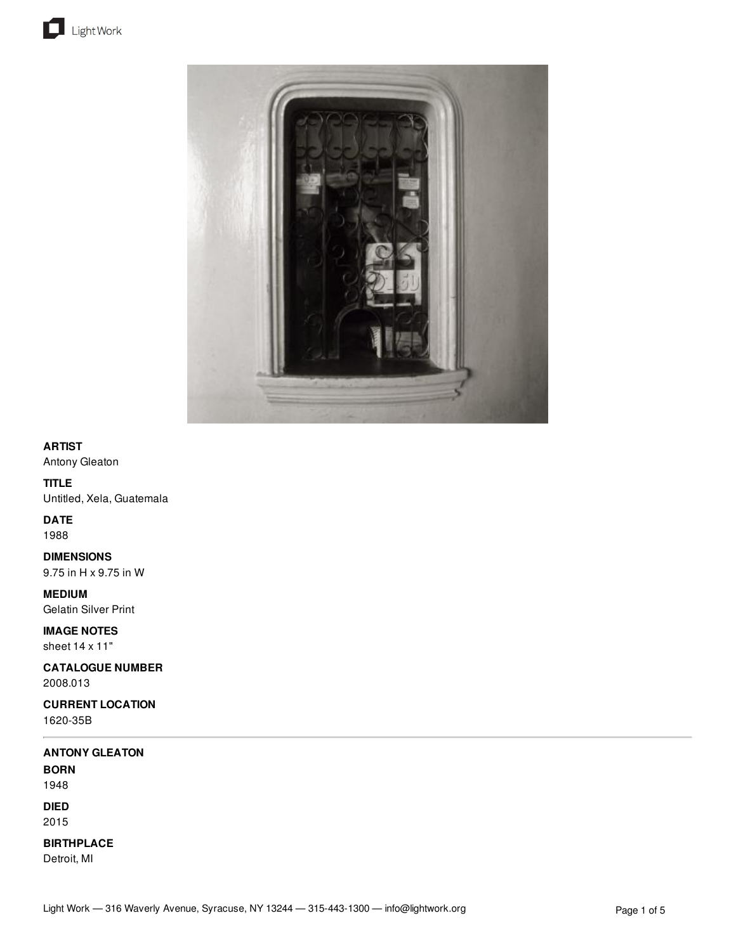



## **ARTIST**

Antony Gleaton

## **TITLE**

Untitled, Xela, Guatemala

# **DATE**

1988

## **DIMENSIONS** 9.75 in H x 9.75 in W

**MEDIUM** Gelatin Silver Print

# **IMAGE NOTES** sheet 14 x 11"

**CATALOGUE NUMBER** 2008.013

**CURRENT LOCATION** 1620-35B

# **ANTONY GLEATON BORN** 1948

**DIED** 2015

## **BIRTHPLACE**

Detroit, MI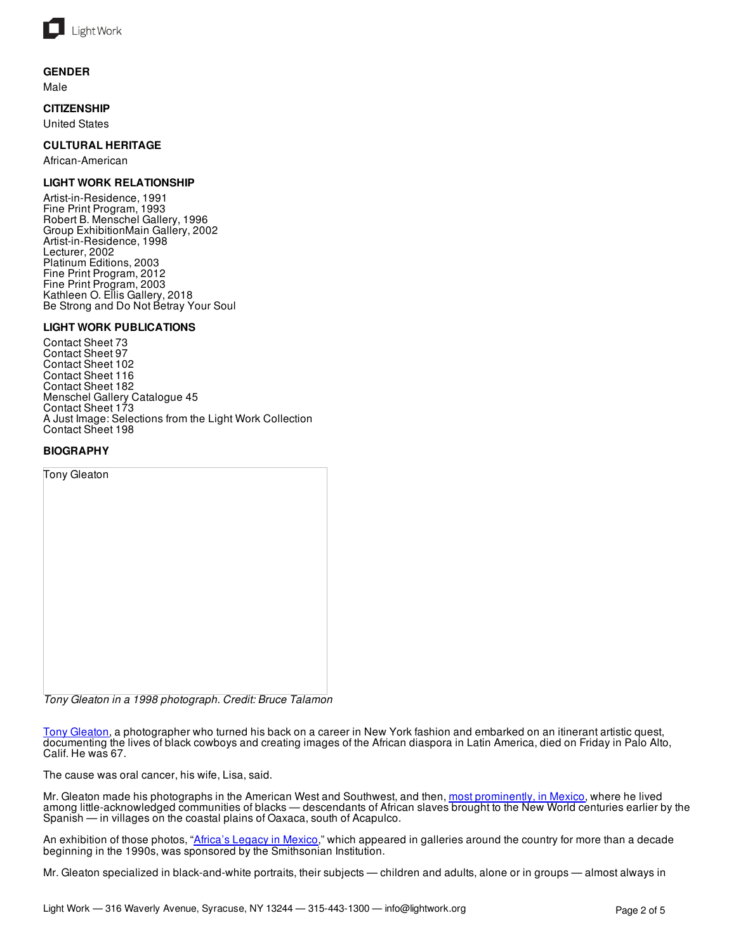

### **GENDER**

Male

### **CITIZENSHIP**

United States

### **CULTURAL HERITAGE**

African-American

#### **LIGHT WORK RELATIONSHIP**

Artist-in-Residence, 1991 Fine Print Program, 1993 Robert B. Menschel Gallery, 1996 Group ExhibitionMain Gallery, 2002 Artist-in-Residence, 1998 Lecturer, 2002 Platinum Editions, 2003 Fine Print Program, 2012 Fine Print Program, 2003 Kathleen O. Ellis Gallery, 2018 Be Strong and Do Not Betray Your Soul

### **LIGHT WORK PUBLICATIONS**

Contact Sheet 73 Contact Sheet 97 Contact Sheet 102 Contact Sheet 116 Contact Sheet 182 Menschel Gallery Catalogue 45 Contact Sheet 173 A Just Image: Selections from the Light Work Collection Contact Sheet 198

#### **BIOGRAPHY**

| <b>Tony Gleaton</b> |  |
|---------------------|--|
|                     |  |
|                     |  |
|                     |  |
|                     |  |
|                     |  |
|                     |  |

*Tony Gleaton in a 1998 photograph. Credit: Bruce Talamon*

Tony [Gleaton,](http://www.tonygleaton.com/TonyGleaton.com/Home_page.html) a photographer who turned his back on a career in New York fashion and embarked on an itinerant artistic quest, documenting the lives of black cowboys and creating images of the African diaspora in Latin America, died on Friday in Palo Alto, Calif. He was 67.

The cause was oral cancer, his wife, Lisa, said.

Mr. Gleaton made his photographs in the American West and Southwest, and then, most [prominently,](https://www.youtube.com/watch?v=zmHT8Y8lPnM) in Mexico, where he lived among little-acknowledged communities of blacks — descendants of African slaves brought to the New World centuries earlier by the Spanish — in villages on the coastal plains of Oaxaca, south of Acapulco.

An exhibition of those photos, ["Africa's](http://www.smithsonianeducation.org/migrations/legacy/alm.html) Legacy in Mexico," which appeared in galleries around the country for more than a decade beginning in the 1990s, was sponsored by the Smithsonian Institution.

Mr. Gleaton specialized in black-and-white portraits, their subjects — children and adults, alone or in groups — almost always in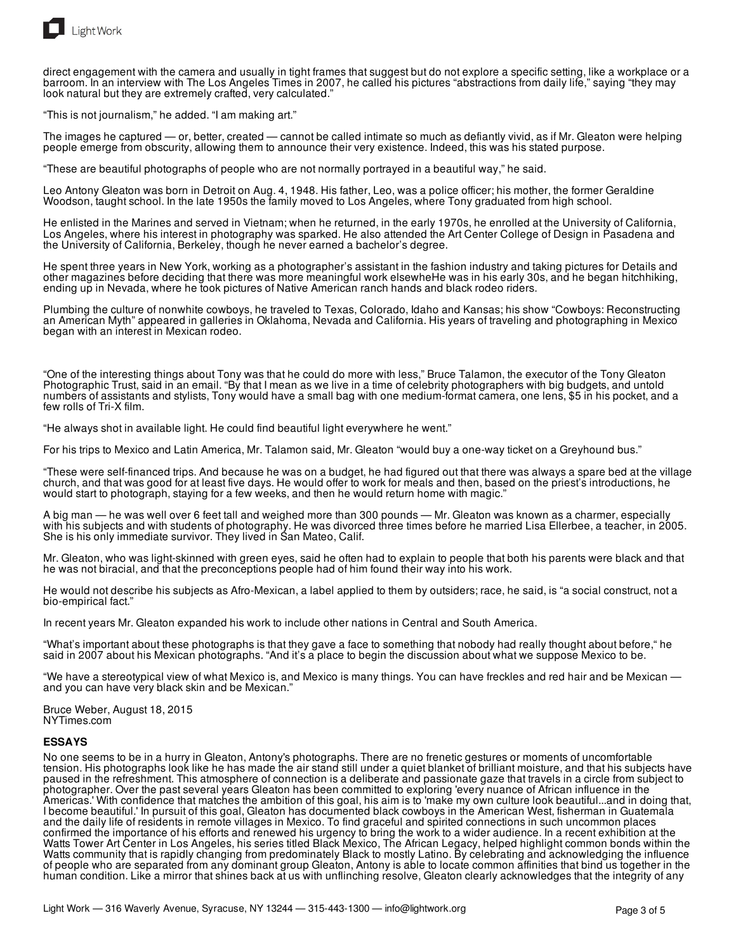

direct engagement with the camera and usually in tight frames that suggest but do not explore a specific setting, like a workplace or a barroom. In an interview with The Los Angeles Times in 2007, he called his pictures "abstractions from daily life," saying "they may look natural but they are extremely crafted, very calculated."

"This is not journalism," he added. "I am making art."

The images he captured — or, better, created — cannot be called intimate so much as defiantly vivid, as if Mr. Gleaton were helping people emerge from obscurity, allowing them to announce their very existence. Indeed, this was his stated purpose.

"These are beautiful photographs of people who are not normally portrayed in a beautiful way," he said.

Leo Antony Gleaton was born in Detroit on Aug. 4, 1948. His father, Leo, was a police officer; his mother, the former Geraldine Woodson, taught school. In the late 1950s the family moved to Los Angeles, where Tony graduated from high school.

He enlisted in the Marines and served in Vietnam; when he returned, in the early 1970s, he enrolled at the University of California, Los Angeles, where his interest in photography was sparked. He also attended the Art Center College of Design in Pasadena and the University of California, Berkeley, though he never earned a bachelor's degree.

He spent three years in New York, working as a photographer's assistant in the fashion industry and taking pictures for Details and other magazines before deciding that there was more meaningful work elsewheHe was in his early 30s, and he began hitchhiking, ending up in Nevada, where he took pictures of Native American ranch hands and black rodeo riders.

Plumbing the culture of nonwhite cowboys, he traveled to Texas, Colorado, Idaho and Kansas; his show "Cowboys: Reconstructing an American Myth" appeared in galleries in Oklahoma, Nevada and California. His years of traveling and photographing in Mexico began with an interest in Mexican rodeo.

"One of the interesting things about Tony was that he could do more with less," Bruce Talamon, the executor of the Tony Gleaton Photographic Trust, said in an email. "By that I mean as we live in a time of celebrity photographers with big budgets, and untold numbers of assistants and stylists, Tony would have a small bag with one medium-format camera, one lens, \$5 in his pocket, and a few rolls of Tri-X film.

"He always shot in available light. He could find beautiful light everywhere he went."

For his trips to Mexico and Latin America, Mr. Talamon said, Mr. Gleaton "would buy a one-way ticket on a Greyhound bus."

"These were self-financed trips. And because he was on a budget, he had figured out that there was always a spare bed at the village church, and that was good for at least five days. He would offer to work for meals and then, based on the priest's introductions, he would start to photograph, staying for a few weeks, and then he would return home with magic."

A big man — he was well over 6 feet tall and weighed more than 300 pounds — Mr. Gleaton was known as a charmer, especially with his subjects and with students of photography. He was divorced three times before he married Lisa Ellerbee, a teacher, in 2005. She is his only immediate survivor. They lived in San Mateo, Calif.

Mr. Gleaton, who was light-skinned with green eyes, said he often had to explain to people that both his parents were black and that he was not biracial, and that the preconceptions people had of him found their way into his work.

He would not describe his subjects as Afro-Mexican, a label applied to them by outsiders; race, he said, is "a social construct, not a bio-empirical fact."

In recent years Mr. Gleaton expanded his work to include other nations in Central and South America.

"What's important about these photographs is that they gave a face to something that nobody had really thought about before," he said in 2007 about his Mexican photographs. "And it's a place to begin the discussion about what we suppose Mexico to be.

"We have a stereotypical view of what Mexico is, and Mexico is many things. You can have freckles and red hair and be Mexican and you can have very black skin and be Mexican."

Bruce Weber, August 18, 2015 NYTimes.com

#### **ESSAYS**

No one seems to be in a hurry in Gleaton, Antony's photographs. There are no frenetic gestures or moments of uncomfortable tension. His photographs look like he has made the air stand still under a quiet blanket of brilliant moisture, and that his subjects have paused in the refreshment. This atmosphere of connection is a deliberate and passionate gaze that travels in a circle from subject to photographer. Over the past several years Gleaton has been committed to exploring 'every nuance of African influence in the Americas.' With confidence that matches the ambition of this goal, his aim is to 'make my own culture look beautiful...and in doing that, I become beautiful.' In pursuit of this goal, Gleaton has documented black cowboys in the American West, fisherman in Guatemala and the daily life of residents in remote villages in Mexico. To find graceful and spirited connections in such uncommon places confirmed the importance of his efforts and renewed his urgency to bring the work to a wider audience. In a recent exhibition at the Watts Tower Art Center in Los Angeles, his series titled Black Mexico, The African Legacy, helped highlight common bonds within the Watts community that is rapidly changing from predominately Black to mostly Latino. By celebrating and acknowledging the influence of people who are separated from any dominant group Gleaton, Antony is able to locate common affinities that bind us together in the human condition. Like a mirror that shines back at us with unflinching resolve, Gleaton clearly acknowledges that the integrity of any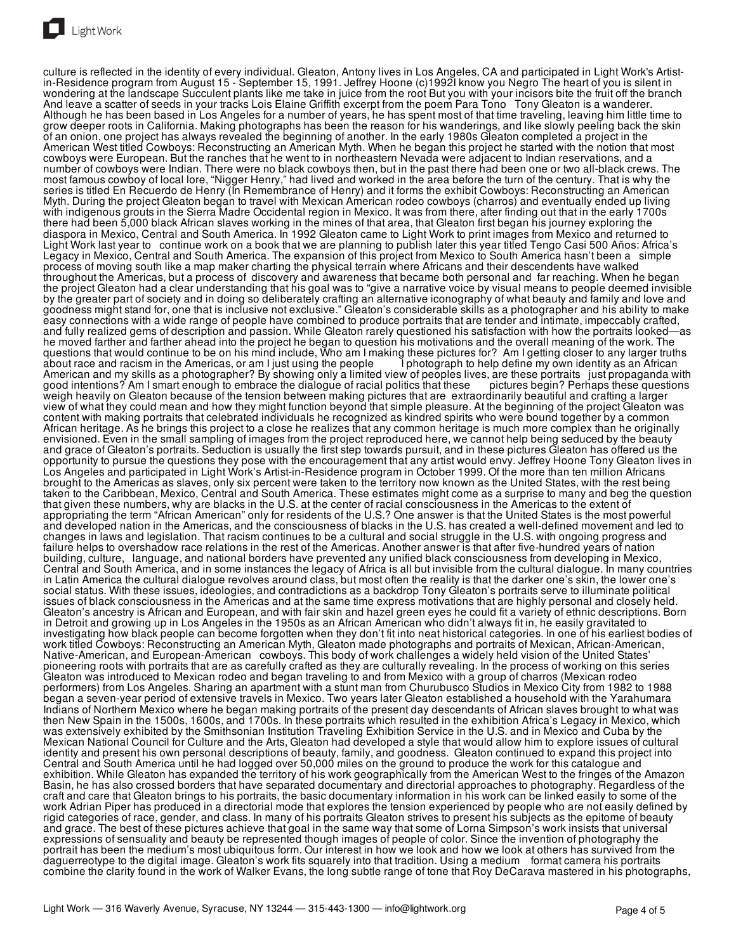

culture is reflected in the identity of every individual. Gleaton, Antony lives in Los Angeles, CA and participated in Light Work's Artistin-Residence program from August 15 - September 15, 1991. Jeffrey Hoone (c)1992I know you Negro The heart of you is silent in wondering at the landscape Succulent plants like me take in juice from the root But you with your incisors bite the fruit off the branch And leave a scatter of seeds in your tracks Lois Elaine Griffith excerpt from the poem Para Tono Tony Gleaton is a wanderer. Although he has been based in Los Angeles for a number of years, he has spent most of that time traveling, leaving him little time to grow deeper roots in California. Making photographs has been the reason for his wanderings, and like slowly peeling back the skin of an onion, one project has always revealed the beginning of another. In the early 1980s Gleaton completed a project in the American West titled Cowboys: Reconstructing an American Myth. When he began this project he started with the notion that most cowboys were European. But the ranches that he went to in northeastern Nevada were adjacent to Indian reservations, and a number of cowboys were Indian. There were no black cowboys then, but in the past there had been one or two all-black crews. The most famous cowboy of local lore, "Nigger Henry," had lived and worked in the area before the turn of the century. That is why the series is titled En Recuerdo de Henry (In Remembrance of Henry) and it forms the exhibit Cowboys: Reconstructing an American Myth. During the project Gleaton began to travel with Mexican American rodeo cowboys (charros) and eventually ended up living with indigenous grouts in the Sierra Madre Occidental region in Mexico. It was from there, after finding out that in the early 1700s there had been 5,000 black African slaves working in the mines of that area, that Gleaton first began his journey exploring the diaspora in Mexico, Central and South America. In 1992 Gleaton came to Light Work to print images from Mexico and returned to Light Work last year to continue work on a book that we are planning to publish later this year titled Tengo Casi 500 Años: Africa's Legacy in Mexico, Central and South America. The expansion of this project from Mexico to South America hasn't been a simple process of moving south like a map maker charting the physical terrain where Africans and their descendents have walked throughout the Americas, but a process of discovery and awareness that became both personal and far reaching. When he began the project Gleaton had a clear understanding that his goal was to "give a narrative voice by visual means to people deemed invisible by the greater part of society and in doing so deliberately crafting an alternative iconography of what beauty and family and love and goodness might stand for, one that is inclusive not exclusive." Gleaton's considerable skills as a photographer and his ability to make easy connections with a wide range of people have combined to produce portraits that are tender and intimate, impeccably crafted, and fully realized gems of description and passion. While Gleaton rarely questioned his satisfaction with how the portraits looked—as he moved farther and farther ahead into the project he began to question his motivations and the overall meaning of the work. The questions that would continue to be on his mind include, Who am I making these pictures for? Am I getting closer to any larger truths about race and racism in the Americas, or am I just using the people I photograph to help define my own identity as an African American and my skills as a photographer? By showing only a limited view of peoples lives, are these portraits just propaganda with good intentions? Am I smart enough to embrace the dialogue of racial politics that these pictures begin? Perhaps these questions weigh heavily on Gleaton because of the tension between making pictures that are extraordinarily beautiful and crafting a larger view of what they could mean and how they might function beyond that simple pleasure. At the beginning of the project Gleaton was content with making portraits that celebrated individuals he recognized as kindred spirits who were bound together by a common African heritage. As he brings this project to a close he realizes that any common heritage is much more complex than he originally envisioned. Even in the small sampling of images from the project reproduced here, we cannot help being seduced by the beauty and grace of Gleaton's portraits. Seduction is usually the first step towards pursuit, and in these pictures Gleaton has offered us the opportunity to pursue the questions they pose with the encouragement that any artist would envy. Jeffrey Hoone Tony Gleaton lives in Los Angeles and participated in Light Work's Artist-in-Residence program in October 1999. Of the more than ten million Africans brought to the Americas as slaves, only six percent were taken to the territory now known as the United States, with the rest being taken to the Caribbean, Mexico, Central and South America. These estimates might come as a surprise to many and beg the question that given these numbers, why are blacks in the U.S. at the center of racial consciousness in the Americas to the extent of appropriating the term "African American" only for residents of the U.S.? One answer is that the United States is the most powerful and developed nation in the Americas, and the consciousness of blacks in the U.S. has created a well-defined movement and led to changes in laws and legislation. That racism continues to be a cultural and social struggle in the U.S. with ongoing progress and failure helps to overshadow race relations in the rest of the Americas. Another answer is that after five-hundred years of nation building, culture, language, and national borders have prevented any unified black consciousness from developing in Mexico, Central and South America, and in some instances the legacy of Africa is all but invisible from the cultural dialogue. In many countries in Latin America the cultural dialogue revolves around class, but most often the reality is that the darker one's skin, the lower one's social status. With these issues, ideologies, and contradictions as a backdrop Tony Gleaton's portraits serve to illuminate political issues of black consciousness in the Americas and at the same time express motivations that are highly personal and closely held. Gleaton's ancestry is African and European, and with fair skin and hazel green eyes he could fit a variety of ethnic descriptions. Born in Detroit and growing up in Los Angeles in the 1950s as an African American who didn't always fit in, he easily gravitated to investigating how black people can become forgotten when they don't fit into neat historical categories. In one of his earliest bodies of work titled Cowboys: Reconstructing an American Myth, Gleaton made photographs and portraits of Mexican, African-American, Native-American, and European-American cowboys. This body of work challenges a widely held vision of the United States' pioneering roots with portraits that are as carefully crafted as they are culturally revealing. In the process of working on this series Gleaton was introduced to Mexican rodeo and began traveling to and from Mexico with a group of charros (Mexican rodeo performers) from Los Angeles. Sharing an apartment with a stunt man from Churubusco Studios in Mexico City from 1982 to 1988 began a seven-year period of extensive travels in Mexico. Two years later Gleaton established a household with the Yarahumara Indians of Northern Mexico where he began making portraits of the present day descendants of African slaves brought to what was then New Spain in the 1500s, 1600s, and 1700s. In these portraits which resulted in the exhibition Africa's Legacy in Mexico, which was extensively exhibited by the Smithsonian Institution Traveling Exhibition Service in the U.S. and in Mexico and Cuba by the Mexican National Council for Culture and the Arts, Gleaton had developed a style that would allow him to explore issues of cultural identity and present his own personal descriptions of beauty, family, and goodness. Gleaton continued to expand this project into Central and South America until he had logged over 50,000 miles on the ground to produce the work for this catalogue and exhibition. While Gleaton has expanded the territory of his work geographically from the American West to the fringes of the Amazon Basin, he has also crossed borders that have separated documentary and directorial approaches to photography. Regardless of the craft and care that Gleaton brings to his portraits, the basic documentary information in his work can be linked easily to some of the work Adrian Piper has produced in a directorial mode that explores the tension experienced by people who are not easily defined by rigid categories of race, gender, and class. In many of his portraits Gleaton strives to present his subjects as the epitome of beauty and grace. The best of these pictures achieve that goal in the same way that some of Lorna Simpson's work insists that universal expressions of sensuality and beauty be represented though images of people of color. Since the invention of photography the portrait has been the medium's most ubiquitous form. Our interest in how we look and how we look at others has survived from the daguerreotype to the digital image. Gleaton's work fits squarely into that tradition. Using a medium format camera his portraits combine the clarity found in the work of Walker Evans, the long subtle range of tone that Roy DeCarava mastered in his photographs,